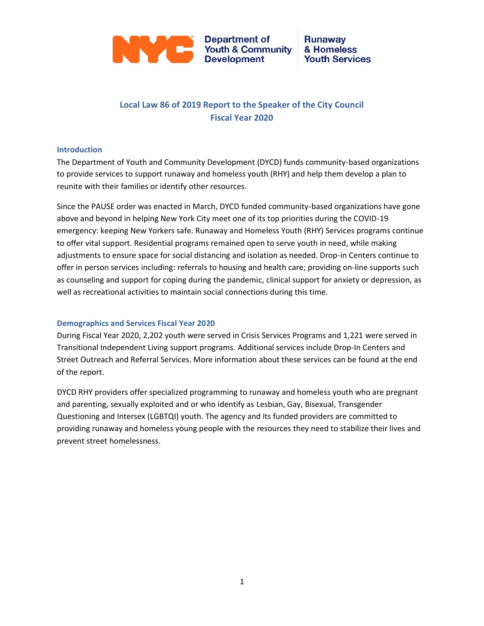

**Department of Youth & Community Development** 

#### **Runaway** & Homeless **Youth Services**

### **Local Law 86 of 2019 Report to the Speaker of the City Council Fiscal Year 2020**

#### **Introduction**

The Department of Youth and Community Development (DYCD) funds community-based organizations to provide services to support runaway and homeless youth (RHY) and help them develop a plan to reunite with their families or identify other resources.

Since the PAUSE order was enacted in March, DYCD funded community-based organizations have gone above and beyond in helping New York City meet one of its top priorities during the COVID-19 emergency: keeping New Yorkers safe. Runaway and Homeless Youth (RHY) Services programs continue to offer vital support. Residential programs remained open to serve youth in need, while making adjustments to ensure space for social distancing and isolation as needed. Drop-in Centers continue to offer in person services including: referrals to housing and health care; providing on-line supports such as counseling and support for coping during the pandemic, clinical support for anxiety or depression, as well as recreational activities to maintain social connections during this time.

#### **Demographics and Services Fiscal Year 2020**

During Fiscal Year 2020, 2,202 youth were served in Crisis Services Programs and 1,221 were served in Transitional Independent Living support programs. Additional services include Drop-In Centers and Street Outreach and Referral Services. More information about these services can be found at the end of the report.

DYCD RHY providers offer specialized programming to runaway and homeless youth who are pregnant and parenting, sexually exploited and or who identify as Lesbian, Gay, Bisexual, Transgender Questioning and Intersex (LGBTQI) youth. The agency and its funded providers are committed to providing runaway and homeless young people with the resources they need to stabilize their lives and prevent street homelessness.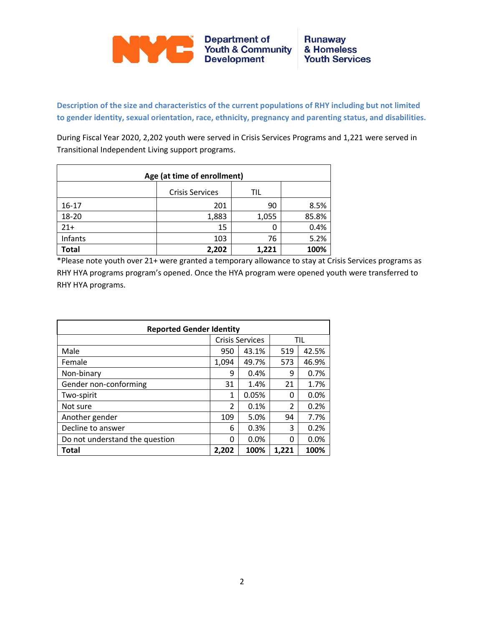

**Description of the size and characteristics of the current populations of RHY including but not limited to gender identity, sexual orientation, race, ethnicity, pregnancy and parenting status, and disabilities.**

During Fiscal Year 2020, 2,202 youth were served in Crisis Services Programs and 1,221 were served in Transitional Independent Living support programs.

| Age (at time of enrollment) |       |       |       |  |  |
|-----------------------------|-------|-------|-------|--|--|
|                             |       |       |       |  |  |
| $16-17$                     | 201   | 90    | 8.5%  |  |  |
| 18-20                       | 1,883 | 1,055 | 85.8% |  |  |
| $21+$                       | 15    |       | 0.4%  |  |  |
| Infants                     | 103   | 76    | 5.2%  |  |  |
| <b>Total</b>                | 2,202 | 1,221 | 100%  |  |  |

\*Please note youth over 21+ were granted a temporary allowance to stay at Crisis Services programs as RHY HYA programs program's opened. Once the HYA program were opened youth were transferred to RHY HYA programs.

| <b>Reported Gender Identity</b> |                                |                        |                |       |  |  |
|---------------------------------|--------------------------------|------------------------|----------------|-------|--|--|
|                                 |                                | <b>Crisis Services</b> | TIL            |       |  |  |
| Male                            | 950<br>43.1%                   |                        | 519            | 42.5% |  |  |
| Female                          | 1,094                          | 49.7%                  |                | 46.9% |  |  |
| Non-binary                      | 9                              | 0.4%                   | 9              | 0.7%  |  |  |
| Gender non-conforming           | 31                             | 1.4%                   | 21             | 1.7%  |  |  |
| Two-spirit                      | 1                              | 0.05%                  | 0              | 0.0%  |  |  |
| Not sure                        | $\mathfrak{p}$                 | 0.1%                   | $\mathfrak{p}$ | 0.2%  |  |  |
| Another gender                  | 109                            | 5.0%                   | 94             | 7.7%  |  |  |
| Decline to answer               | 6                              | 0.3%                   | 3              | 0.2%  |  |  |
| Do not understand the question  | 0                              | 0.0%                   | 0              | 0.0%  |  |  |
| Total                           | 100%<br>100%<br>1,221<br>2,202 |                        |                |       |  |  |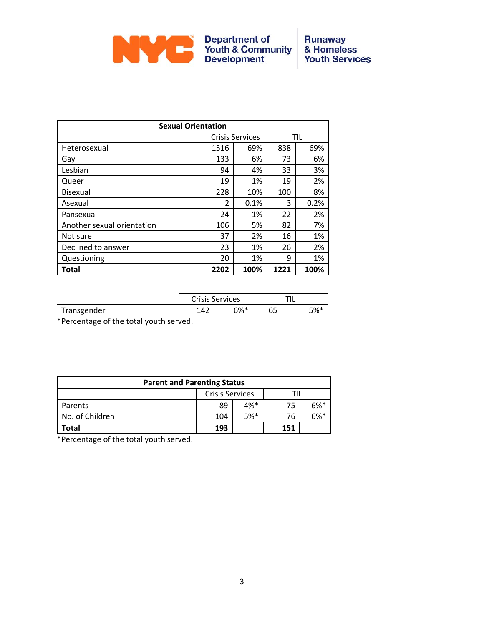

### **Runaway** & Homeless<br>Youth Services

| <b>Sexual Orientation</b>  |                |                        |      |      |  |
|----------------------------|----------------|------------------------|------|------|--|
|                            |                | <b>Crisis Services</b> | TIL  |      |  |
| Heterosexual               | 1516           | 69%                    | 838  | 69%  |  |
| Gay                        | 133            | 6%                     | 73   | 6%   |  |
| Lesbian                    | 94             | 4%                     | 33   | 3%   |  |
| Queer                      | 19             | 1%                     | 19   | 2%   |  |
| <b>Bisexual</b>            | 228            | 10%                    | 100  | 8%   |  |
| Asexual                    | $\mathfrak{p}$ | 0.1%                   | 3    | 0.2% |  |
| Pansexual                  | 24             | 1%                     | 22   | 2%   |  |
| Another sexual orientation | 106            | 5%                     | 82   | 7%   |  |
| Not sure                   | 37             | 2%                     | 16   | 1%   |  |
| Declined to answer         | 23             | 1%                     | 26   | 2%   |  |
| Questioning                | 20             | 1%                     | 9    | 1%   |  |
| Total                      | 2202           | 100%                   | 1221 | 100% |  |

|             | <b>Crisis Services</b> |        |          |     |
|-------------|------------------------|--------|----------|-----|
| Transgender | 142                    | $6%$ * | ~-<br>ບບ | 5%* |

\*Percentage of the total youth served.

| <b>Parent and Parenting Status</b> |               |        |     |        |  |  |
|------------------------------------|---------------|--------|-----|--------|--|--|
| <b>Crisis Services</b>             |               |        |     |        |  |  |
| Parents                            | 89            | $4%$ * | 75  | $6%$ * |  |  |
| No. of Children                    | $5%$ *<br>104 |        | 76  | $6\%*$ |  |  |
| 'otal                              | 193           |        | 151 |        |  |  |

\*Percentage of the total youth served.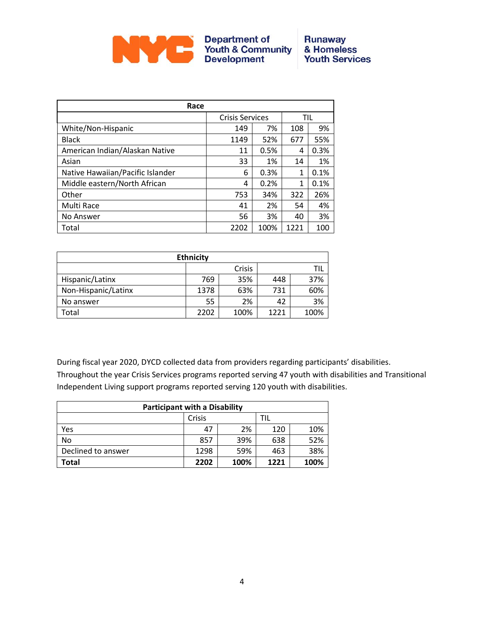

| Race                             |                        |      |      |      |  |  |
|----------------------------------|------------------------|------|------|------|--|--|
|                                  | <b>Crisis Services</b> |      | TIL  |      |  |  |
| White/Non-Hispanic               | 149                    | 7%   | 108  | 9%   |  |  |
| <b>Black</b>                     | 1149                   | 52%  | 677  | 55%  |  |  |
| American Indian/Alaskan Native   | 11                     | 0.5% | 4    | 0.3% |  |  |
| Asian                            | 33                     | 1%   | 14   | 1%   |  |  |
| Native Hawaiian/Pacific Islander | 6                      | 0.3% | 1    | 0.1% |  |  |
| Middle eastern/North African     | 4                      | 0.2% | 1    | 0.1% |  |  |
| Other                            | 753                    | 34%  | 322  | 26%  |  |  |
| Multi Race                       | 41                     | 2%   | 54   | 4%   |  |  |
| No Answer                        | 56                     | 3%   | 40   | 3%   |  |  |
| Total                            | 2202                   | 100% | 1221 | 100  |  |  |

| <b>Ethnicity</b>    |      |      |      |      |  |  |
|---------------------|------|------|------|------|--|--|
| Crisis              |      |      |      |      |  |  |
| Hispanic/Latinx     | 769  | 35%  | 448  | 37%  |  |  |
| Non-Hispanic/Latinx | 1378 | 63%  | 731  | 60%  |  |  |
| No answer           | 55   | 2%   | 42   | 3%   |  |  |
| Total               | 2202 | 100% | 1221 | 100% |  |  |

During fiscal year 2020, DYCD collected data from providers regarding participants' disabilities. Throughout the year Crisis Services programs reported serving 47 youth with disabilities and Transitional Independent Living support programs reported serving 120 youth with disabilities.

| <b>Participant with a Disability</b> |      |      |      |      |  |
|--------------------------------------|------|------|------|------|--|
|                                      | TIL  |      |      |      |  |
| Yes                                  | 47   | 2%   | 120  | 10%  |  |
| <b>No</b>                            | 857  | 39%  | 638  | 52%  |  |
| Declined to answer                   | 1298 | 59%  | 463  | 38%  |  |
| Total                                | 2202 | 100% | 1221 | 100% |  |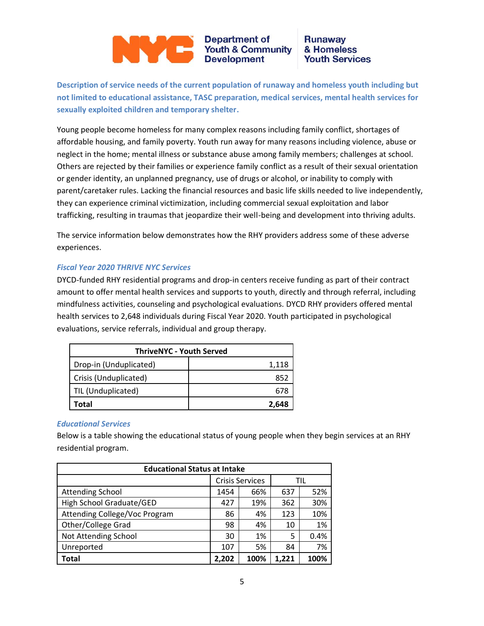# Department of<br>Youth & Community<br>Development

#### **Runaway** & Homeless **Youth Services**

**Description of service needs of the current population of runaway and homeless youth including but not limited to educational assistance, TASC preparation, medical services, mental health services for sexually exploited children and temporary shelter.**

Young people become homeless for many complex reasons including family conflict, shortages of affordable housing, and family poverty. Youth run away for many reasons including violence, abuse or neglect in the home; mental illness or substance abuse among family members; challenges at school. Others are rejected by their families or experience family conflict as a result of their sexual orientation or gender identity, an unplanned pregnancy, use of drugs or alcohol, or inability to comply with parent/caretaker rules. Lacking the financial resources and basic life skills needed to live independently, they can experience criminal victimization, including commercial sexual exploitation and labor trafficking, resulting in traumas that jeopardize their well-being and development into thriving adults.

The service information below demonstrates how the RHY providers address some of these adverse experiences.

#### *Fiscal Year 2020 THRIVE NYC Services*

DYCD-funded RHY residential programs and drop-in centers receive funding as part of their contract amount to offer mental health services and supports to youth, directly and through referral, including mindfulness activities, counseling and psychological evaluations. DYCD RHY providers offered mental health services to 2,648 individuals during Fiscal Year 2020. Youth participated in psychological evaluations, service referrals, individual and group therapy.

| <b>ThriveNYC - Youth Served</b> |       |  |  |
|---------------------------------|-------|--|--|
| Drop-in (Unduplicated)          | 1,118 |  |  |
| Crisis (Unduplicated)           | 852   |  |  |
| TIL (Unduplicated)              | 678   |  |  |
| Total                           | 2,648 |  |  |

#### *Educational Services*

Below is a table showing the educational status of young people when they begin services at an RHY residential program.

| <b>Educational Status at Intake</b> |                        |      |       |      |  |
|-------------------------------------|------------------------|------|-------|------|--|
|                                     | <b>Crisis Services</b> |      | TIL   |      |  |
| <b>Attending School</b>             | 1454                   | 66%  | 637   | 52%  |  |
| High School Graduate/GED            | 427                    | 19%  | 362   | 30%  |  |
| Attending College/Voc Program       | 86                     | 4%   | 123   | 10%  |  |
| Other/College Grad                  | 98                     | 4%   | 10    | 1%   |  |
| Not Attending School                | 30                     | 1%   | 5     | 0.4% |  |
| Unreported                          | 107                    | 5%   | 84    | 7%   |  |
| Total                               | 2,202                  | 100% | 1.221 | 100% |  |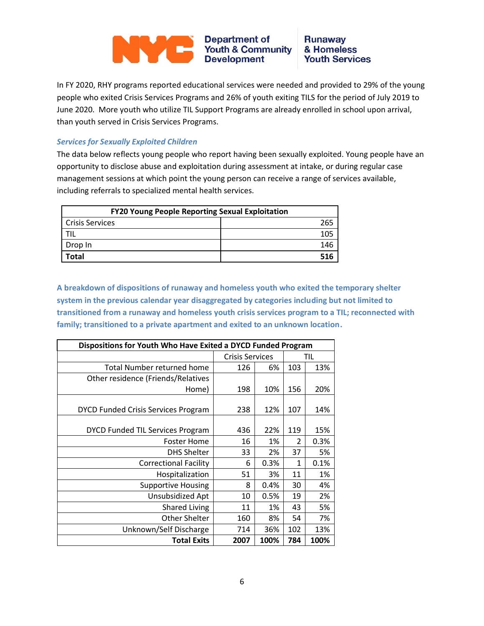#### **Department of<br>Youth & Community<br>Development Runaway** NYC & Homeless **Youth Services**

In FY 2020, RHY programs reported educational services were needed and provided to 29% of the young people who exited Crisis Services Programs and 26% of youth exiting TILS for the period of July 2019 to June 2020. More youth who utilize TIL Support Programs are already enrolled in school upon arrival, than youth served in Crisis Services Programs.

#### *Services for Sexually Exploited Children*

The data below reflects young people who report having been sexually exploited. Young people have an opportunity to disclose abuse and exploitation during assessment at intake, or during regular case management sessions at which point the young person can receive a range of services available, including referrals to specialized mental health services.

| <b>FY20 Young People Reporting Sexual Exploitation</b> |     |  |  |  |
|--------------------------------------------------------|-----|--|--|--|
| <b>Crisis Services</b>                                 | 265 |  |  |  |
|                                                        |     |  |  |  |
| Drop In                                                | 146 |  |  |  |
| Total                                                  | 516 |  |  |  |

**A breakdown of dispositions of runaway and homeless youth who exited the temporary shelter system in the previous calendar year disaggregated by categories including but not limited to transitioned from a runaway and homeless youth crisis services program to a TIL; reconnected with family; transitioned to a private apartment and exited to an unknown location.**

| Dispositions for Youth Who Have Exited a DYCD Funded Program |                        |      |               |      |  |  |
|--------------------------------------------------------------|------------------------|------|---------------|------|--|--|
|                                                              | <b>Crisis Services</b> |      | TIL           |      |  |  |
| Total Number returned home                                   | 126                    | 6%   | 103           | 13%  |  |  |
| Other residence (Friends/Relatives                           |                        |      |               |      |  |  |
| Home)                                                        | 198                    | 10%  | 156           | 20%  |  |  |
|                                                              |                        |      |               |      |  |  |
| <b>DYCD Funded Crisis Services Program</b>                   | 238                    | 12%  | 107           | 14%  |  |  |
|                                                              |                        |      |               |      |  |  |
| DYCD Funded TIL Services Program                             | 436                    | 22%  | 119           | 15%  |  |  |
| <b>Foster Home</b>                                           | 16                     | 1%   | $\mathfrak z$ | 0.3% |  |  |
| <b>DHS Shelter</b>                                           | 33                     | 2%   | 37            | 5%   |  |  |
| <b>Correctional Facility</b>                                 | 6                      | 0.3% | 1             | 0.1% |  |  |
| Hospitalization                                              | 51                     | 3%   | 11            | 1%   |  |  |
| <b>Supportive Housing</b>                                    | 8                      | 0.4% | 30            | 4%   |  |  |
| Unsubsidized Apt                                             | 10                     | 0.5% | 19            | 2%   |  |  |
| <b>Shared Living</b>                                         | 11                     | 1%   | 43            | 5%   |  |  |
| Other Shelter                                                | 160                    | 8%   | 54            | 7%   |  |  |
| Unknown/Self Discharge                                       | 714                    | 36%  | 102           | 13%  |  |  |
| <b>Total Exits</b>                                           | 2007                   | 100% | 784           | 100% |  |  |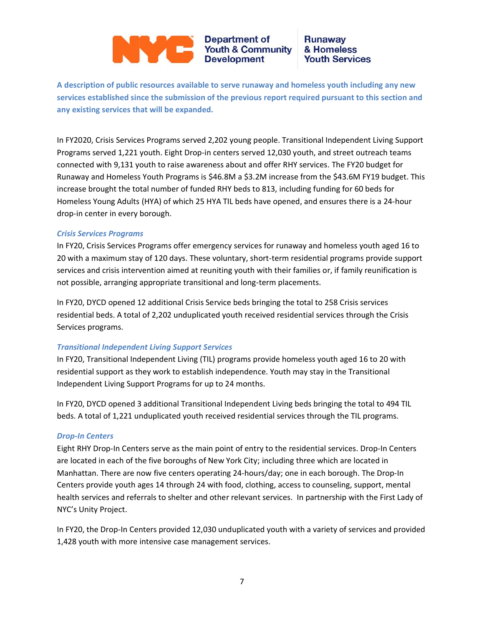## Department of<br>Youth & Community<br>Development

#### **Runaway** & Homeless **Youth Services**

**A description of public resources available to serve runaway and homeless youth including any new services established since the submission of the previous report required pursuant to this section and any existing services that will be expanded.**

In FY2020, Crisis Services Programs served 2,202 young people. Transitional Independent Living Support Programs served 1,221 youth. Eight Drop-in centers served 12,030 youth, and street outreach teams connected with 9,131 youth to raise awareness about and offer RHY services. The FY20 budget for Runaway and Homeless Youth Programs is \$46.8M a \$3.2M increase from the \$43.6M FY19 budget. This increase brought the total number of funded RHY beds to 813, including funding for 60 beds for Homeless Young Adults (HYA) of which 25 HYA TIL beds have opened, and ensures there is a 24-hour drop‐in center in every borough.

#### *Crisis Services Programs*

In FY20, Crisis Services Programs offer emergency services for runaway and homeless youth aged 16 to 20 with a maximum stay of 120 days. These voluntary, short-term residential programs provide support services and crisis intervention aimed at reuniting youth with their families or, if family reunification is not possible, arranging appropriate transitional and long-term placements.

In FY20, DYCD opened 12 additional Crisis Service beds bringing the total to 258 Crisis services residential beds. A total of 2,202 unduplicated youth received residential services through the Crisis Services programs.

#### *Transitional Independent Living Support Services*

In FY20, Transitional Independent Living (TIL) programs provide homeless youth aged 16 to 20 with residential support as they work to establish independence. Youth may stay in the Transitional Independent Living Support Programs for up to 24 months.

In FY20, DYCD opened 3 additional Transitional Independent Living beds bringing the total to 494 TIL beds. A total of 1,221 unduplicated youth received residential services through the TIL programs.

#### *Drop-In Centers*

Eight RHY Drop-In Centers serve as the main point of entry to the residential services. Drop-In Centers are located in each of the five boroughs of New York City; including three which are located in Manhattan. There are now five centers operating 24-hours/day; one in each borough. The Drop-In Centers provide youth ages 14 through 24 with food, clothing, access to counseling, support, mental health services and referrals to shelter and other relevant services. In partnership with the First Lady of NYC's Unity Project.

In FY20, the Drop-In Centers provided 12,030 unduplicated youth with a variety of services and provided 1,428 youth with more intensive case management services.